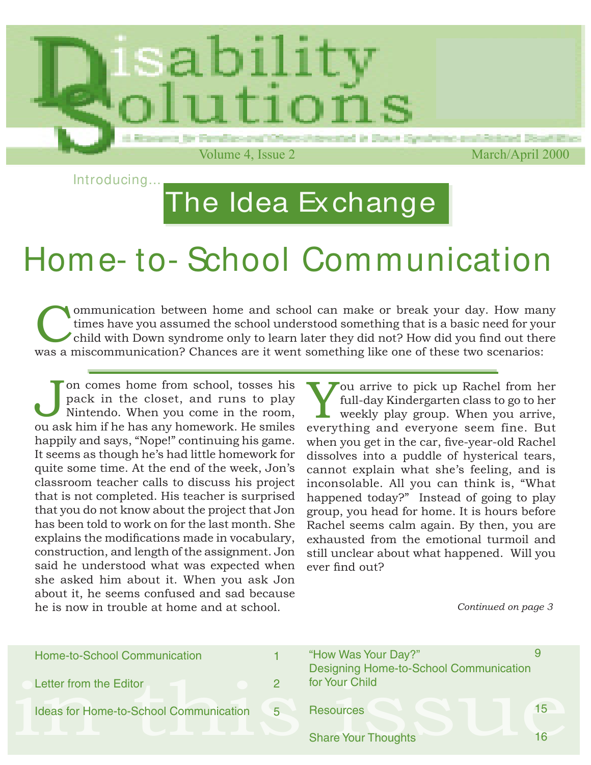

Introducing...

# The Idea Exchange

# Home- to- School Communication

Communication between home and school can make or break your day. How may times have you assumed the school understood something that is a basic need for yo child with Down syndrome only to learn later they did not? How di ommunication between home and school can make or break your day. How many times have you assumed the school understood something that is a basic need for your child with Down syndrome only to learn later they did not? How did you find out there

I on comes home from school, tosses his pack in the closet, and runs to play Nintendo. When you come in the room, ou ask him if he has any homework. He smiles on comes home from school, tosses his pack in the closet, and runs to play Nintendo. When you come in the room, happily and says, "Nope!" continuing his game. It seems as though he's had little homework for quite some time. At the end of the week, Jon's classroom teacher calls to discuss his project that is not completed. His teacher is surprised that you do not know about the project that Jon has been told to work on for the last month. She explains the modifications made in vocabulary, construction, and length of the assignment. Jon said he understood what was expected when she asked him about it. When you ask Jon about it, he seems confused and sad because he is now in trouble at home and at school.

You arrive to pick up Rachel from her full-day Kindergarten class to go to her weekly play group. When you arrive, everything and everyone seem fine. But ou arrive to pick up Rachel from her full-day Kindergarten class to go to her weekly play group. When you arrive, when you get in the car, five-year-old Rachel dissolves into a puddle of hysterical tears, cannot explain what she's feeling, and is inconsolable. All you can think is, "What happened today?" Instead of going to play group, you head for home. It is hours before Rachel seems calm again. By then, you are exhausted from the emotional turmoil and still unclear about what happened. Will you ever find out?

*Continued on page 3*

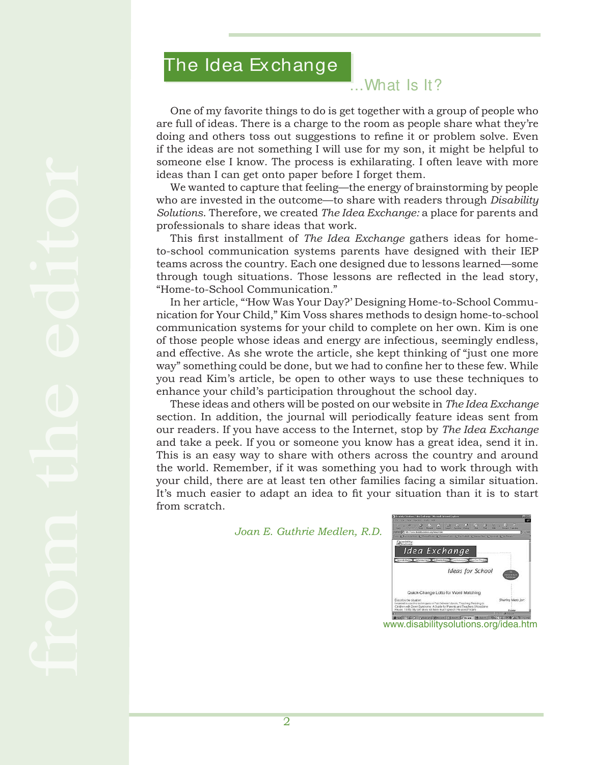## The Idea Exchange

*Disability Solutions* March/April 2000

### ...What Is It?

One of my favorite things to do is get together with a group of people who are full of ideas. There is a charge to the room as people share what they're doing and others toss out suggestions to refine it or problem solve. Even if the ideas are not something I will use for my son, it might be helpful to someone else I know. The process is exhilarating. I often leave with more ideas than I can get onto paper before I forget them.

We wanted to capture that feeling—the energy of brainstorming by people who are invested in the outcome—to share with readers through *Disability Solutions*. Therefore, we created *The Idea Exchange:* a place for parents and professionals to share ideas that work.

This first installment of *The Idea Exchange* gathers ideas for hometo-school communication systems parents have designed with their IEP teams across the country. Each one designed due to lessons learned—some through tough situations. Those lessons are reflected in the lead story, "Home-to-School Communication*.*"

In her article, "'How Was Your Day?' Designing Home-to-School Communication for Your Child," Kim Voss shares methods to design home-to-school communication systems for your child to complete on her own. Kim is one of those people whose ideas and energy are infectious, seemingly endless, and effective. As she wrote the article, she kept thinking of "just one more way" something could be done, but we had to confine her to these few. While you read Kim's article, be open to other ways to use these techniques to enhance your child's participation throughout the school day.

These ideas and others will be posted on our website in *The Idea Exchange* section. In addition, the journal will periodically feature ideas sent from our readers. If you have access to the Internet, stop by *The Idea Exchange*  and take a peek. If you or someone you know has a great idea, send it in. This is an easy way to share with others across the country and around the world. Remember, if it was something you had to work through with your child, there are at least ten other families facing a similar situation. It's much easier to adapt an idea to fit your situation than it is to start from scratch.

*Joan E. Guthrie Medlen, R.D.*



www.disabilitysolutions.org/idea.htm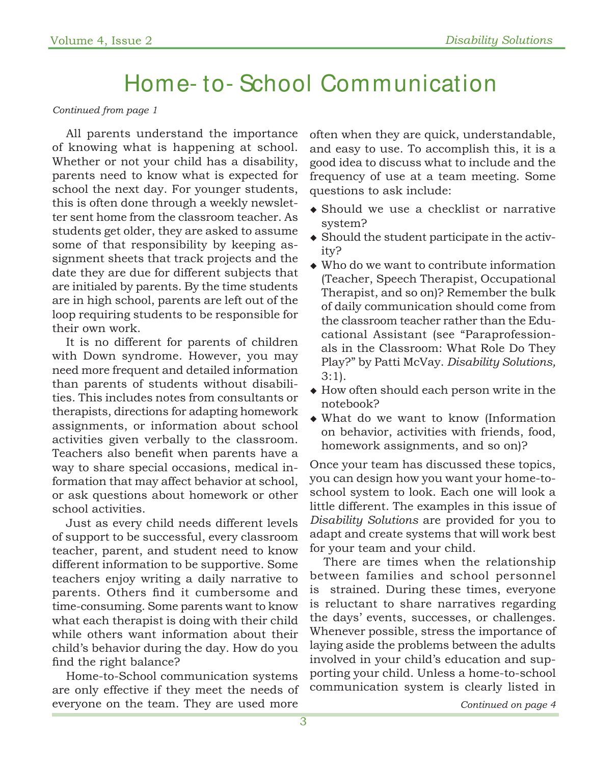## Home- to- School Communication

#### *Continued from page 1*

All parents understand the importance of knowing what is happening at school. Whether or not your child has a disability, parents need to know what is expected for school the next day. For younger students, this is often done through a weekly newsletter sent home from the classroom teacher. As students get older, they are asked to assume some of that responsibility by keeping assignment sheets that track projects and the date they are due for different subjects that are initialed by parents. By the time students are in high school, parents are left out of the loop requiring students to be responsible for their own work.

It is no different for parents of children with Down syndrome. However, you may need more frequent and detailed information than parents of students without disabilities. This includes notes from consultants or therapists, directions for adapting homework assignments, or information about school activities given verbally to the classroom. Teachers also benefit when parents have a way to share special occasions, medical information that may affect behavior at school, or ask questions about homework or other school activities.

Just as every child needs different levels of support to be successful, every classroom teacher, parent, and student need to know different information to be supportive. Some teachers enjoy writing a daily narrative to parents. Others find it cumbersome and time-consuming. Some parents want to know what each therapist is doing with their child while others want information about their child's behavior during the day. How do you find the right balance?

Home-to-School communication systems are only effective if they meet the needs of everyone on the team. They are used more

often when they are quick, understandable, and easy to use. To accomplish this, it is a good idea to discuss what to include and the frequency of use at a team meeting. Some questions to ask include:

- Should we use a checklist or narrative system?
- Should the student participate in the activity?
- Who do we want to contribute information (Teacher, Speech Therapist, Occupational Therapist, and so on)? Remember the bulk of daily communication should come from the classroom teacher rather than the Educational Assistant (see "Paraprofessionals in the Classroom: What Role Do They Play?" by Patti McVay. *Disability Solutions,*   $3:1$ ).
- How often should each person write in the notebook?
- What do we want to know (Information on behavior, activities with friends, food, homework assignments, and so on)?

Once your team has discussed these topics, you can design how you want your home-toschool system to look. Each one will look a little different. The examples in this issue of *Disability Solutions* are provided for you to adapt and create systems that will work best for your team and your child.

There are times when the relationship between families and school personnel is strained. During these times, everyone is reluctant to share narratives regarding the days' events, successes, or challenges. Whenever possible, stress the importance of laying aside the problems between the adults involved in your child's education and supporting your child. Unless a home-to-school communication system is clearly listed in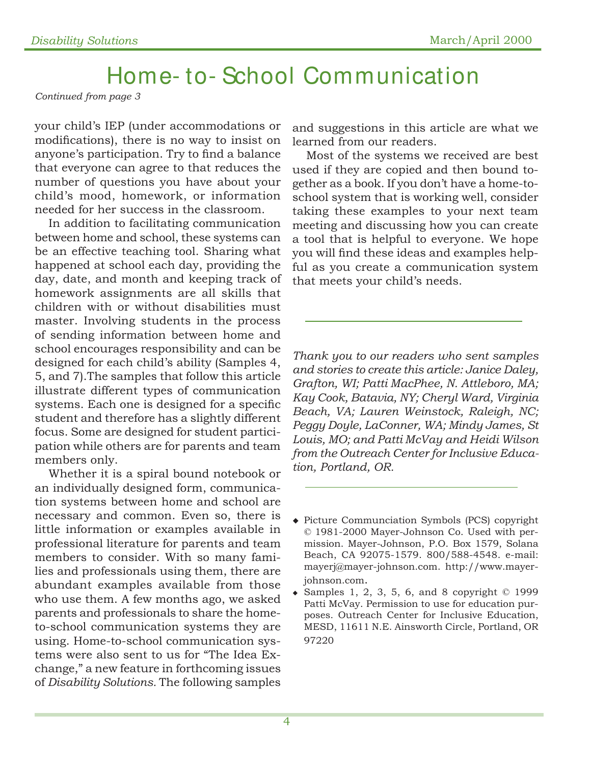## Home- to- School Communication

*Continued from page 3*

your child's IEP (under accommodations or modifications), there is no way to insist on anyone's participation. Try to find a balance that everyone can agree to that reduces the number of questions you have about your child's mood, homework, or information needed for her success in the classroom.

In addition to facilitating communication between home and school, these systems can be an effective teaching tool. Sharing what happened at school each day, providing the day, date, and month and keeping track of homework assignments are all skills that children with or without disabilities must master. Involving students in the process of sending information between home and school encourages responsibility and can be designed for each child's ability (Samples 4, 5, and 7).The samples that follow this article illustrate different types of communication systems. Each one is designed for a specific student and therefore has a slightly different focus. Some are designed for student participation while others are for parents and team members only.

Whether it is a spiral bound notebook or an individually designed form, communication systems between home and school are necessary and common. Even so, there is little information or examples available in professional literature for parents and team members to consider. With so many families and professionals using them, there are abundant examples available from those who use them. A few months ago, we asked parents and professionals to share the hometo-school communication systems they are using. Home-to-school communication systems were also sent to us for "The Idea Exchange," a new feature in forthcoming issues of *Disability Solutions.* The following samples

and suggestions in this article are what we learned from our readers.

Most of the systems we received are best used if they are copied and then bound together as a book. If you don't have a home-toschool system that is working well, consider taking these examples to your next team meeting and discussing how you can create a tool that is helpful to everyone. We hope you will find these ideas and examples helpful as you create a communication system that meets your child's needs.

*Thank you to our readers who sent samples and stories to create this article: Janice Daley, Grafton, WI; Patti MacPhee, N. Attleboro, MA; Kay Cook, Batavia, NY; Cheryl Ward, Virginia Beach, VA; Lauren Weinstock, Raleigh, NC; Peggy Doyle, LaConner, WA; Mindy James, St Louis, MO; and Patti McVay and Heidi Wilson from the Outreach Center for Inclusive Education, Portland, OR.*

Picture Communciation Symbols (PCS) copyright © 1981-2000 Mayer-Johnson Co. Used with permission. Mayer-Johnson, P.O. Box 1579, Solana Beach, CA 92075-1579. 800/588-4548. e-mail: mayerj@mayer-johnson.com. http://www.mayerjohnson.com.

 $\bullet$  Samples 1, 2, 3, 5, 6, and 8 copyright  $\odot$  1999 Patti McVay. Permission to use for education purposes. Outreach Center for Inclusive Education, MESD, 11611 N.E. Ainsworth Circle, Portland, OR 97220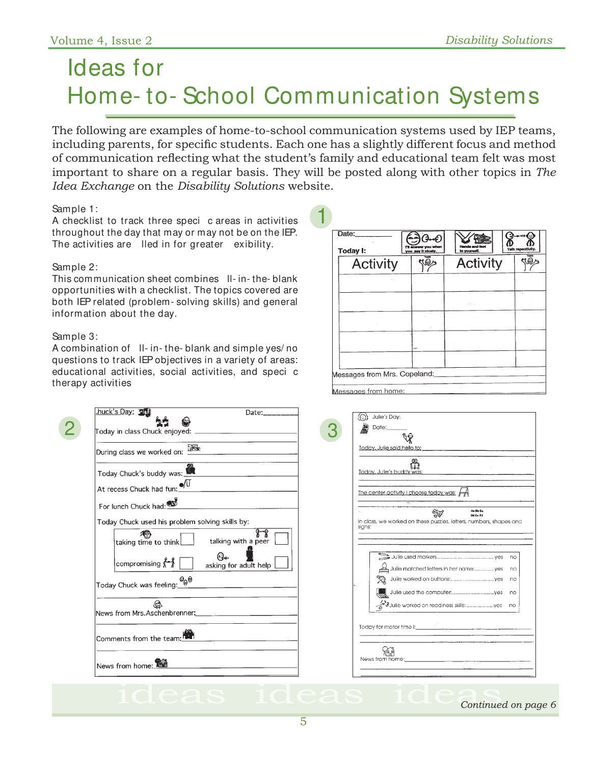## Ideas for Home- to- School Communication Systems

The following are examples of home-to-school communication systems used by IEP teams, including parents, for specific students. Each one has a slightly different focus and method of communication reflecting what the student's family and educational team felt was most important to share on a regular basis. They will be posted along with other topics in *The Idea Exchange* on the *Disability Solutions* website.

1

#### Sample 1:

A checklist to track three speci c areas in activities throughout the day that may or may not be on the IEP. The activities are lled in for greater exibility.

#### Sample 2:

This communication sheet combines II- in- the- blank opportunities with a checklist. The topics covered are both IEP related (problem- solving skills) and general information about the day.

#### Sample 3:

A combination of II- in- the- blank and simple yes/ no questions to track IEP objectives in a variety of areas: educational activities, social activities, and speci c therapy activities

| During class we worked on: $\mathbb{R}$                                                        | Today, Julie said hello to:                                                                                                                                                                                                                                                                                                                                                 |
|------------------------------------------------------------------------------------------------|-----------------------------------------------------------------------------------------------------------------------------------------------------------------------------------------------------------------------------------------------------------------------------------------------------------------------------------------------------------------------------|
| Today Chuck's buddy was:                                                                       | es<br>Today, Julie's buddy was:                                                                                                                                                                                                                                                                                                                                             |
| At recess Chuck had fun: $\sqrt{\frac{1}{\sqrt{2}}}$                                           | The center activity I choose today was: $\overrightarrow{H}$                                                                                                                                                                                                                                                                                                                |
| For lunch Chuck had:                                                                           | An Bh Co                                                                                                                                                                                                                                                                                                                                                                    |
| Today Chuck used his problem solving skills by:<br>taking time to think<br>talking with a peer | ₩<br>Dd En Ff<br>in class, we worked on these puzzles, fetters, numbers, shapes and<br>signs:                                                                                                                                                                                                                                                                               |
| (3)<br>$ $ compromising $\mathcal{K}$<br>asking for adult help                                 |                                                                                                                                                                                                                                                                                                                                                                             |
| @<br>Today Chuck was feeling:_ <mark>@</mark>                                                  | $\begin{picture}(160,10) \put(0,0){\vector(0,1){30}} \put(10,0){\vector(0,1){30}} \put(10,0){\vector(0,1){30}} \put(10,0){\vector(0,1){30}} \put(10,0){\vector(0,1){30}} \put(10,0){\vector(0,1){30}} \put(10,0){\vector(0,1){30}} \put(10,0){\vector(0,1){30}} \put(10,0){\vector(0,1){30}} \put(10,0){\vector(0,1){30}} \put(10,0){\vector(0,1){30}} \put(10,0){\vector($ |
| News from Mrs.Aschenbrenner: _______________                                                   |                                                                                                                                                                                                                                                                                                                                                                             |
| Comments from the team: <b>100</b>                                                             | Today for motor time I: <b>Contained a contained by the Contained Act of the Contained Act of the Contained Act of the Contained Act of the Contained Act of the Contained Act of the Contained Act of the Contained Act of the </b>                                                                                                                                        |
| News from home:                                                                                | 隘<br>News from home: <u>containing the second container and container</u>                                                                                                                                                                                                                                                                                                   |

| Date:_<br>Today I:           | inswer you when<br>you say it nicely. | Hands and feet<br>to yourself. | Talk repectfully. |
|------------------------------|---------------------------------------|--------------------------------|-------------------|
| <b>Activity</b>              | Yould<br>10,                          | <b>Activity</b>                | ☺                 |
|                              |                                       |                                |                   |
|                              |                                       | 25.00                          |                   |
|                              |                                       |                                |                   |
|                              |                                       |                                |                   |
|                              | ÷                                     |                                |                   |
| Messages from Mrs. Copeland: |                                       |                                |                   |

|        | Today, Julie said hello to:                                                                                                                                                                                                                                                                    |    |
|--------|------------------------------------------------------------------------------------------------------------------------------------------------------------------------------------------------------------------------------------------------------------------------------------------------|----|
|        |                                                                                                                                                                                                                                                                                                |    |
|        | Today, Julie's buddy was:                                                                                                                                                                                                                                                                      |    |
|        |                                                                                                                                                                                                                                                                                                |    |
|        | The center activity I choose today was: $\mathcal{H}$                                                                                                                                                                                                                                          |    |
|        |                                                                                                                                                                                                                                                                                                |    |
|        | An Bh Co<br>Dd En Pf                                                                                                                                                                                                                                                                           |    |
| signs: | In class, we worked on these puzzles, fetters, numbers, shapes and                                                                                                                                                                                                                             |    |
|        |                                                                                                                                                                                                                                                                                                |    |
|        |                                                                                                                                                                                                                                                                                                |    |
|        |                                                                                                                                                                                                                                                                                                |    |
|        |                                                                                                                                                                                                                                                                                                | no |
|        |                                                                                                                                                                                                                                                                                                | no |
|        | <sub>a</sub> Julie matched letters in her name:yes                                                                                                                                                                                                                                             | no |
|        |                                                                                                                                                                                                                                                                                                | no |
|        |                                                                                                                                                                                                                                                                                                | no |
|        |                                                                                                                                                                                                                                                                                                |    |
|        | Today for motor time $\mathbb{I}$ and $\mathbb{I}$ and $\mathbb{I}$ and $\mathbb{I}$ and $\mathbb{I}$ and $\mathbb{I}$ and $\mathbb{I}$ and $\mathbb{I}$ and $\mathbb{I}$ and $\mathbb{I}$ and $\mathbb{I}$ and $\mathbb{I}$ and $\mathbb{I}$ and $\mathbb{I}$ and $\mathbb{I}$ and $\mathbb{$ |    |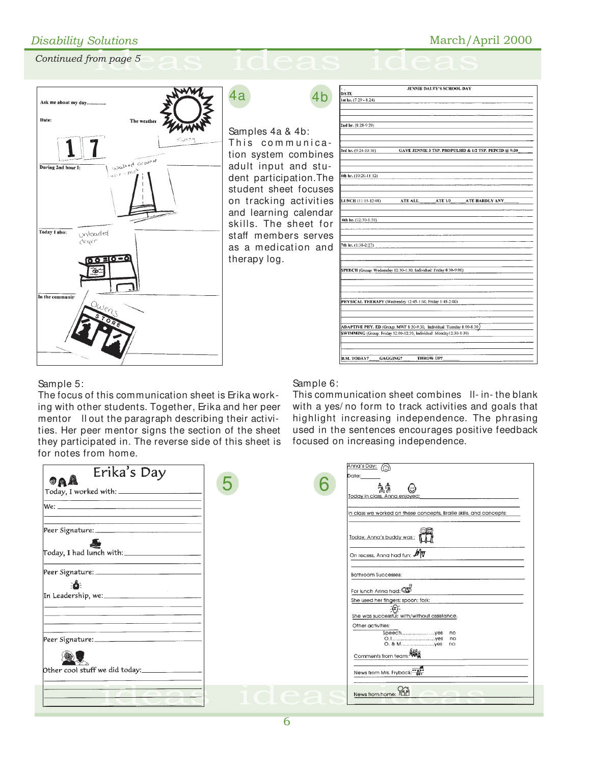#### *Continued from page 5*

| Disability Solutions                                                                                                                                                                               |                                                                                                                                                                                                                                                                                          | March/April 2000                                                                                                                                                                                                                                                                                                                                                                                                                                                                                                                                                                                                                                                               |
|----------------------------------------------------------------------------------------------------------------------------------------------------------------------------------------------------|------------------------------------------------------------------------------------------------------------------------------------------------------------------------------------------------------------------------------------------------------------------------------------------|--------------------------------------------------------------------------------------------------------------------------------------------------------------------------------------------------------------------------------------------------------------------------------------------------------------------------------------------------------------------------------------------------------------------------------------------------------------------------------------------------------------------------------------------------------------------------------------------------------------------------------------------------------------------------------|
| Continued from page 5<br>$\bigcap$ $\bigcirc$<br>$\overline{\phantom{0}}$                                                                                                                          | ideas idea                                                                                                                                                                                                                                                                               |                                                                                                                                                                                                                                                                                                                                                                                                                                                                                                                                                                                                                                                                                |
| Ask me about my day<br>Date:<br>The weather<br>would arounal<br>During 2nd hour I:<br>$\sim 100$<br>$2\times i$ $\sim$<br>Today I also:<br>imloaded<br>dryer<br>Ò.<br>In the communit <sup>-</sup> | 4a<br>Samples 4a & 4b:<br>This communica-<br>tion system combines<br>adult input and stu-<br>dent participation. The<br>student sheet focuses<br>on tracking activities<br>and learning calendar<br>skills. The sheet for<br>staff members serves<br>as a medication and<br>therapy log. | JENNIE DALEY'S SCHOOL DAY<br><b>DATE</b><br>1st hr. (7.29 - 8:24)<br>2nd hr. (8:28-9:20)<br>ord hr. (9:24-10:16)<br>GAVE JENNIE 3 TSP. PROPULSID & 1/2 TSP. PEPCID @ 9:30<br>(th hr. (10:20-11:12)<br>LUNCH (11:15-12:08)<br>ATE ALL<br><b>ATE 1/2</b><br><b>ATE HARDLY ANY</b><br>6th hr. (12:30-1:30)<br>7th hr. (1:38-2:27)<br>SPEECH (Group: Wednesday 12:30-1:30, Individual: Friday 8:30-9:00)<br>PHYSICAL THERAPY (Wednesday 12:45-1:00, Friday 1:45-2:00)<br>ADAPTIVE PHY, ED (Group: MWF 8:30-9:30, Individual: Tuesday 8:00-8:30)<br>SWIMMING (Group: Friday 12:00-12:30, Individual: Monday12:30-1:30)<br><b>THROW UP?</b><br><b>B.M. TODAY?</b><br><b>GAGGING?</b> |

#### Sample 5:

The focus of this communication sheet is Erika working with other students. Together, Erika and her peer mentor Il out the paragraph describing their activities. Her peer mentor signs the section of the sheet they participated in. The reverse side of this sheet is for notes from home.

#### Sample 6:

This communication sheet combines II- in- the blank with a yes/ no form to track activities and goals that highlight increasing independence. The phrasing used in the sentences encourages positive feedback focused on increasing independence.

| Erika's Day<br>GAA<br>Today, I worked with: ___________                                                              | 5                                | Anna's Day: (c)<br>Date:<br>췈<br>(ు)<br>Today in class, Anna enjoyed: |
|----------------------------------------------------------------------------------------------------------------------|----------------------------------|-----------------------------------------------------------------------|
|                                                                                                                      |                                  | In class we worked on these concepts, Braille skills, and concepts:   |
|                                                                                                                      |                                  | Today, Anna's buddy was: [11]                                         |
| Today, I had lunch with: _____________________                                                                       |                                  | On recess, Anna had fun: 19                                           |
| Peer Signature: 2008                                                                                                 |                                  | Bathroom Successes:                                                   |
|                                                                                                                      |                                  | For lunch Anna had: 4<br>She used her fingers: spoon: fork:           |
|                                                                                                                      |                                  | She was successful: with/without assistance.<br>Other activities:     |
| Peer Signature:                                                                                                      |                                  | no.                                                                   |
| Other cool stuff we did today:                                                                                       |                                  | Comments from team: And<br>News from Mrs. Fryback:                    |
| <u> London a Communication de la communication de la communication de la communication de la communication de la</u> |                                  |                                                                       |
|                                                                                                                      | $10e$ S News from home: $\Omega$ | $\bigcap$ $\bigcap$ $\bigcap$                                         |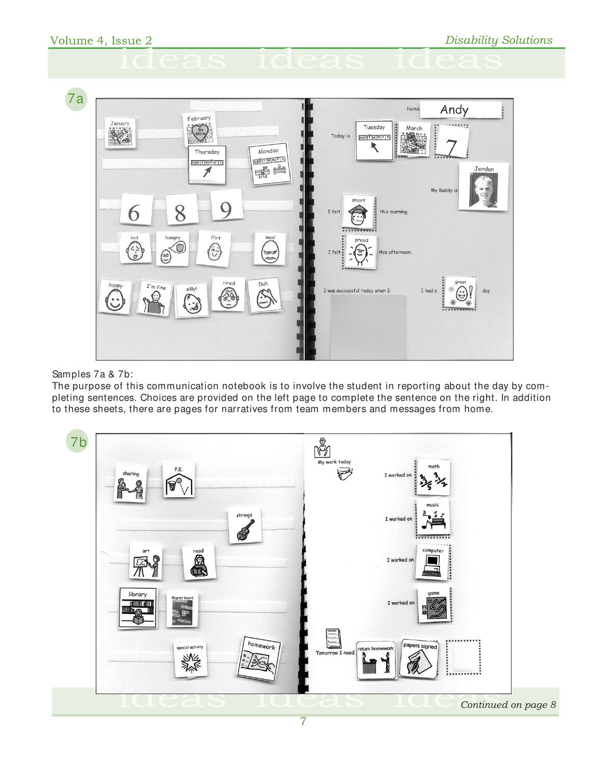# $\frac{a}{\text{index 2}}$  ideas ideas

7a



#### Samples 7a & 7b:

The purpose of this communication notebook is to involve the student in reporting about the day by completing sentences. Choices are provided on the left page to complete the sentence on the right. In addition to these sheets, there are pages for narratives from team members and messages from home.

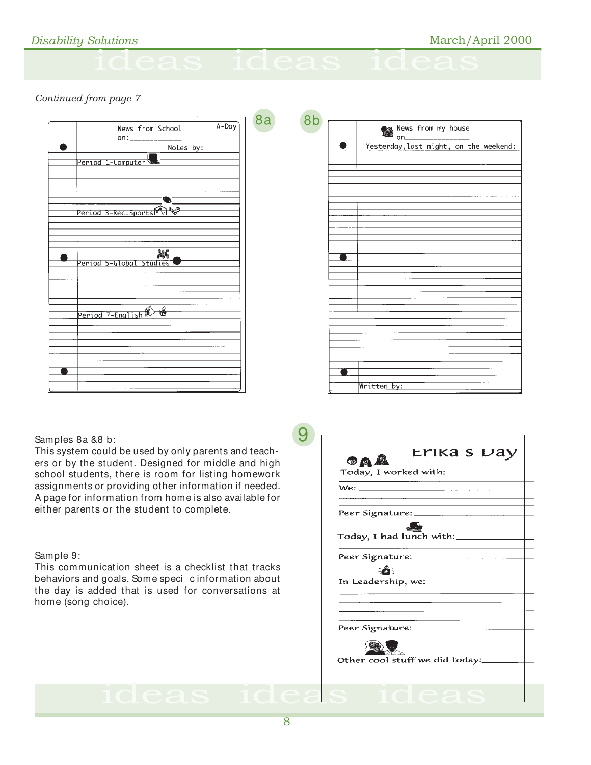# blutions<br>ideas ideas ideas

8a 8b

#### *Continued from page 7*

| A-Day<br>News from School                |
|------------------------------------------|
| Notes by:                                |
| Period 1-Computer                        |
|                                          |
| ٩<br><u>Period 3-Rec.Sports</u>          |
| $\frac{1}{2}$<br>Period 5-Global Studies |
|                                          |
| ₩<br>Period 7-English                    |
|                                          |
|                                          |
|                                          |

| News from my house                     |
|----------------------------------------|
| Yesterday, last night, on the weekend: |
|                                        |
|                                        |
|                                        |
|                                        |
|                                        |
|                                        |
|                                        |
|                                        |
|                                        |
|                                        |
|                                        |
|                                        |
|                                        |
|                                        |
|                                        |
|                                        |
|                                        |
|                                        |
|                                        |
|                                        |
|                                        |
|                                        |
|                                        |
|                                        |
|                                        |
|                                        |
|                                        |
| Written by:                            |
|                                        |

#### Samples 8a &8 b:

This system could be used by only parents and teachers or by the student. Designed for middle and high school students, there is room for listing homework assignments or providing other information if needed. A page for information from home is also available for either parents or the student to complete.

#### Sample 9:

This communication sheet is a checklist that tracks behaviors and goals. Some specic information about the day is added that is used for conversations at home (song choice).

| $\circ$ $\circ$ $\circ$                                                                                                                                                                                                        | Today, I worked with: ____________   | Erika s Day |
|--------------------------------------------------------------------------------------------------------------------------------------------------------------------------------------------------------------------------------|--------------------------------------|-------------|
| Wether the contract of the contract of the contract of the contract of the contract of the contract of the contract of the contract of the contract of the contract of the contract of the contract of the contract of the con |                                      |             |
|                                                                                                                                                                                                                                | Peer Signature: ________________     |             |
|                                                                                                                                                                                                                                | Today, I had lunch with:_________    |             |
|                                                                                                                                                                                                                                | Peer Signature:                      |             |
| -8-                                                                                                                                                                                                                            | In Leadership, we: _________________ |             |
|                                                                                                                                                                                                                                | Peer Signature:______________        |             |
|                                                                                                                                                                                                                                | Other cool stuff we did today:__     |             |
|                                                                                                                                                                                                                                |                                      |             |

9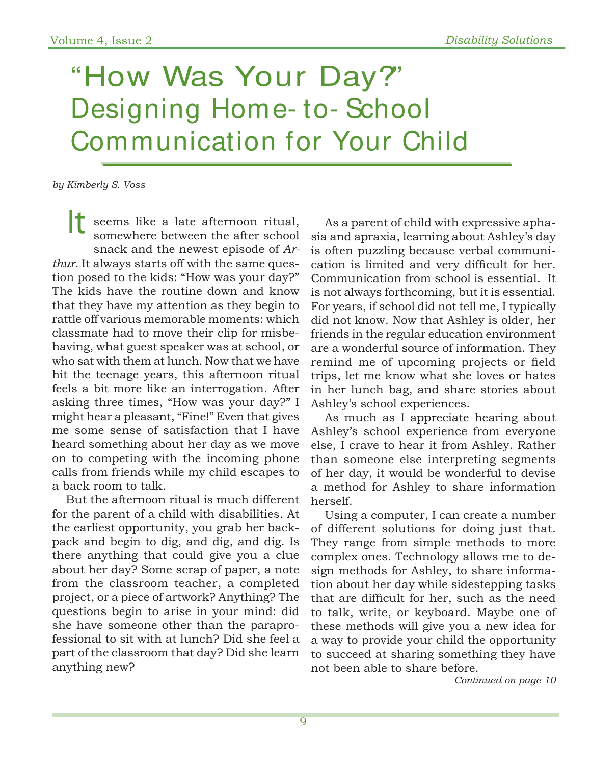*by Kimberly S. Voss*

seems like a late afternoon ritual, It somewhere between the after school snack and the newest episode of *Arthur*. It always starts off with the same question posed to the kids: "How was your day?" The kids have the routine down and know that they have my attention as they begin to rattle off various memorable moments: which classmate had to move their clip for misbehaving, what guest speaker was at school, or who sat with them at lunch. Now that we have hit the teenage years, this afternoon ritual feels a bit more like an interrogation. After asking three times, "How was your day?" I might hear a pleasant, "Fine!" Even that gives me some sense of satisfaction that I have heard something about her day as we move on to competing with the incoming phone calls from friends while my child escapes to a back room to talk.

But the afternoon ritual is much different for the parent of a child with disabilities. At the earliest opportunity, you grab her backpack and begin to dig, and dig, and dig. Is there anything that could give you a clue about her day? Some scrap of paper, a note from the classroom teacher, a completed project, or a piece of artwork? Anything? The questions begin to arise in your mind: did she have someone other than the paraprofessional to sit with at lunch? Did she feel a part of the classroom that day? Did she learn anything new?

As a parent of child with expressive aphasia and apraxia, learning about Ashley's day is often puzzling because verbal communication is limited and very difficult for her. Communication from school is essential. It is not always forthcoming, but it is essential. For years, if school did not tell me, I typically did not know. Now that Ashley is older, her friends in the regular education environment are a wonderful source of information. They remind me of upcoming projects or field trips, let me know what she loves or hates in her lunch bag, and share stories about Ashley's school experiences.

As much as I appreciate hearing about Ashley's school experience from everyone else, I crave to hear it from Ashley. Rather than someone else interpreting segments of her day, it would be wonderful to devise a method for Ashley to share information herself.

Using a computer, I can create a number of different solutions for doing just that. They range from simple methods to more complex ones. Technology allows me to design methods for Ashley, to share information about her day while sidestepping tasks that are difficult for her, such as the need to talk, write, or keyboard. Maybe one of these methods will give you a new idea for a way to provide your child the opportunity to succeed at sharing something they have not been able to share before.

*Continued on page 10*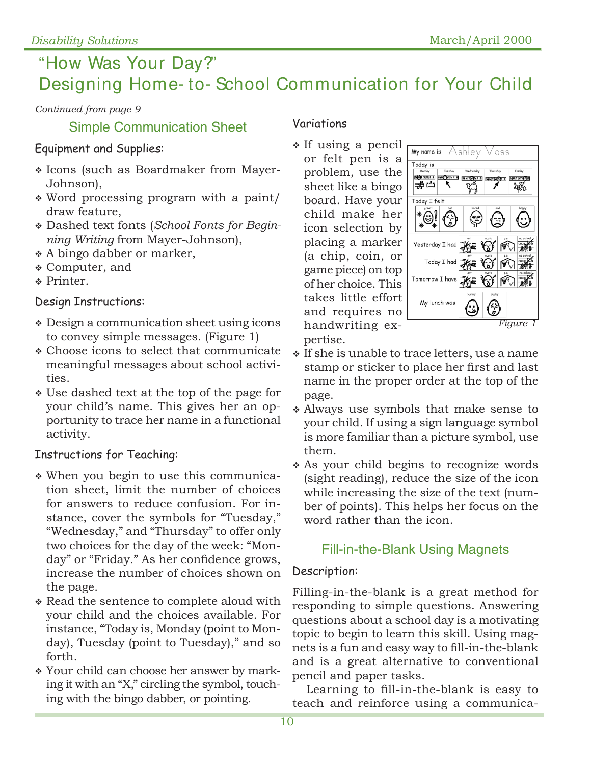*Continued from page 9*

#### Simple Communication Sheet

#### Equipment and Supplies:

- \* Icons (such as Boardmaker from Mayer-Johnson),
- Word processing program with a paint/ draw feature,
- Dashed text fonts (*School Fonts for Beginning Writing* from Mayer-Johnson),
- A bingo dabber or marker,
- Computer, and
- Printer.

#### Design Instructions:

- Design a communication sheet using icons to convey simple messages. (Figure 1)
- Choose icons to select that communicate meaningful messages about school activities.
- Use dashed text at the top of the page for your child's name. This gives her an opportunity to trace her name in a functional activity.

#### Instructions for Teaching:

- When you begin to use this communication sheet, limit the number of choices for answers to reduce confusion. For instance, cover the symbols for "Tuesday," "Wednesday," and "Thursday" to offer only two choices for the day of the week: "Monday" or "Friday." As her confidence grows, increase the number of choices shown on the page.
- Read the sentence to complete aloud with your child and the choices available. For instance, "Today is, Monday (point to Monday), Tuesday (point to Tuesday)," and so forth.
- Your child can choose her answer by marking it with an "X," circling the symbol, touching with the bingo dabber, or pointing.

#### Variations

• If using a pencil or felt pen is a problem, use the sheet like a bingo board. Have your child make her icon selection by placing a marker (a chip, coin, or game piece) on top of her choice. This takes little effort and requires no handwriting expertise.



- \* If she is unable to trace letters, use a name stamp or sticker to place her first and last name in the proper order at the top of the page.
- Always use symbols that make sense to your child. If using a sign language symbol is more familiar than a picture symbol, use them.
- As your child begins to recognize words (sight reading), reduce the size of the icon while increasing the size of the text (number of points). This helps her focus on the word rather than the icon.

## Fill-in-the-Blank Using Magnets

#### Description:

Filling-in-the-blank is a great method for responding to simple questions. Answering questions about a school day is a motivating topic to begin to learn this skill. Using magnets is a fun and easy way to fill-in-the-blank and is a great alternative to conventional pencil and paper tasks.

Learning to fill-in-the-blank is easy to teach and reinforce using a communica-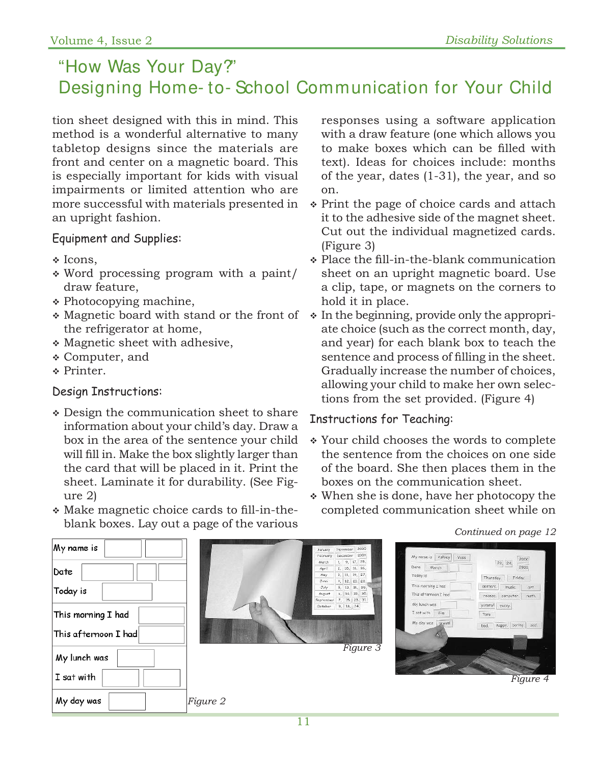tion sheet designed with this in mind. This method is a wonderful alternative to many tabletop designs since the materials are front and center on a magnetic board. This is especially important for kids with visual impairments or limited attention who are more successful with materials presented in an upright fashion.

Equipment and Supplies:

- Icons,
- Word processing program with a paint/ draw feature,
- Photocopying machine,
- Magnetic board with stand or the front of the refrigerator at home,
- Magnetic sheet with adhesive,
- Computer, and
- Printer.

Design Instructions:

- Design the communication sheet to share information about your child's day. Draw a box in the area of the sentence your child will fill in. Make the box slightly larger than the card that will be placed in it. Print the sheet. Laminate it for durability. (See Figure 2)
- Make magnetic choice cards to fill-in-theblank boxes. Lay out a page of the various

responses using a software application with a draw feature (one which allows you to make boxes which can be filled with text). Ideas for choices include: months of the year, dates  $(1-31)$ , the year, and so on.

- Print the page of choice cards and attach it to the adhesive side of the magnet sheet. Cut out the individual magnetized cards. (Figure 3)
- Place the fill-in-the-blank communication sheet on an upright magnetic board. Use a clip, tape, or magnets on the corners to hold it in place.
- $\cdot$  In the beginning, provide only the appropriate choice (such as the correct month, day, and year) for each blank box to teach the sentence and process of filling in the sheet. Gradually increase the number of choices, allowing your child to make her own selections from the set provided. (Figure 4)

#### Instructions for Teaching:

- Your child chooses the words to complete the sentence from the choices on one side of the board. She then places them in the boxes on the communication sheet.
- When she is done, have her photocopy the completed communication sheet while on

#### *Continued on page 12*

| My name is                                 | Nevember 2005<br>January<br>Daczmber 2001<br>February                                                                                                                                            | My name is   Ashley   Voss                                           |                                                                                                                          |
|--------------------------------------------|--------------------------------------------------------------------------------------------------------------------------------------------------------------------------------------------------|----------------------------------------------------------------------|--------------------------------------------------------------------------------------------------------------------------|
| Date<br>Today is                           | 1, 9, 17, 25,<br>March<br>2, 10, 18, 26,<br>April<br>3, 11, 19, 27,<br>May<br>4, 12, 20, 28,<br><b>June</b><br>5, 13, 21, 29,<br>July<br>6, 14, 22, 30.<br>August<br>7, 15, 23, 31,<br>September | Date March<br>Today is<br>This morning I had<br>This of remoon I had | $\frac{2000}{2001}$<br>$ 23 $ $ 24 $<br>Friday<br>Thursday.<br>senters.<br>music<br>ort.<br>recess.<br>math.<br>computer |
| This morning I had<br>This afternoon I had | 8, 16, 24,<br>October                                                                                                                                                                            | My lunch was<br>I sat with Kim<br>My day was great!                  | yummy! yucky.<br>Tana<br>bad. happy, poring sad.                                                                         |
| My lunch was<br>I sat with                 | Figure 3                                                                                                                                                                                         | <b>Savorely</b>                                                      | Figure 4                                                                                                                 |
| My day was                                 | Figure 2                                                                                                                                                                                         |                                                                      |                                                                                                                          |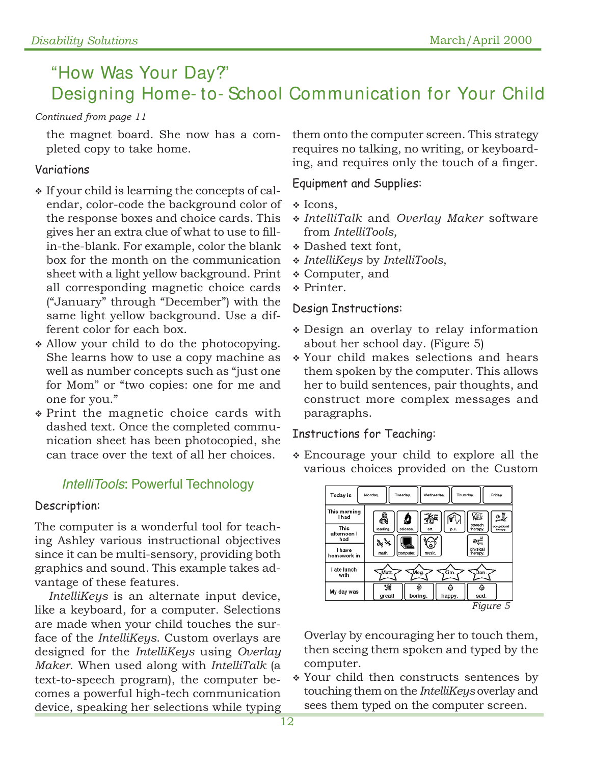#### *Continued from page 11*

the magnet board. She now has a completed copy to take home.

#### Variations

- If your child is learning the concepts of calendar, color-code the background color of the response boxes and choice cards. This gives her an extra clue of what to use to fillin-the-blank. For example, color the blank box for the month on the communication sheet with a light yellow background. Print all corresponding magnetic choice cards ("January" through "December") with the same light yellow background. Use a different color for each box.
- Allow your child to do the photocopying. She learns how to use a copy machine as well as number concepts such as "just one for Mom" or "two copies: one for me and one for you."
- Print the magnetic choice cards with dashed text. Once the completed communication sheet has been photocopied, she can trace over the text of all her choices.

### IntelliTools: Powerful Technology

#### Description:

The computer is a wonderful tool for teaching Ashley various instructional objectives since it can be multi-sensory, providing both graphics and sound. This example takes advantage of these features.

*IntelliKeys* is an alternate input device, like a keyboard, for a computer. Selections are made when your child touches the surface of the *IntelliKeys*. Custom overlays are designed for the *IntelliKeys* using *Overlay Maker*. When used along with *IntelliTalk* (a text-to-speech program), the computer becomes a powerful high-tech communication device, speaking her selections while typing

them onto the computer screen. This strategy requires no talking, no writing, or keyboarding, and requires only the touch of a finger.

#### Equipment and Supplies:

- Icons,
- *IntelliTalk* and *Overlay Maker* software from *IntelliTools*,
- Dashed text font,
- *IntelliKeys* by *IntelliTools*,
- Computer, and
- Printer.

#### Design Instructions:

- Design an overlay to relay information about her school day. (Figure 5)
- Your child makes selections and hears them spoken by the computer. This allows her to build sentences, pair thoughts, and construct more complex messages and paragraphs.

#### Instructions for Teaching:

 Encourage your child to explore all the various choices provided on the Custom



Overlay by encouraging her to touch them, then seeing them spoken and typed by the computer.

 Your child then constructs sentences by touching them on the *IntelliKeys* overlay and sees them typed on the computer screen.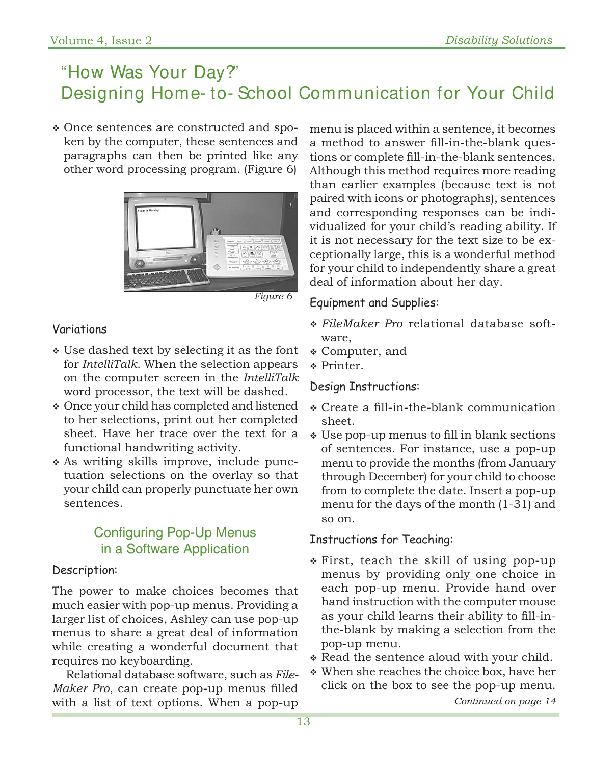Once sentences are constructed and spoken by the computer, these sentences and paragraphs can then be printed like any other word processing program. (Figure 6)



*Figure 6*

#### Variations

- Use dashed text by selecting it as the font for *IntelliTalk*. When the selection appears on the computer screen in the *IntelliTalk*  word processor, the text will be dashed.
- Once your child has completed and listened to her selections, print out her completed sheet. Have her trace over the text for a functional handwriting activity.
- As writing skills improve, include punctuation selections on the overlay so that your child can properly punctuate her own sentences.

## Configuring Pop-Up Menus in a Software Application

#### Description:

The power to make choices becomes that much easier with pop-up menus. Providing a larger list of choices, Ashley can use pop-up menus to share a great deal of information while creating a wonderful document that requires no keyboarding.

Relational database software, such as *File-Maker Pro*, can create pop-up menus filled with a list of text options. When a pop-up

menu is placed within a sentence, it becomes a method to answer fill-in-the-blank questions or complete fill-in-the-blank sentences. Although this method requires more reading than earlier examples (because text is not paired with icons or photographs), sentences and corresponding responses can be individualized for your child's reading ability. If it is not necessary for the text size to be exceptionally large, this is a wonderful method for your child to independently share a great deal of information about her day.

Equipment and Supplies:

- *FileMaker Pro* relational database software,
- Computer, and
- Printer.

#### Design Instructions:

- Create a fill-in-the-blank communication sheet.
- Use pop-up menus to fill in blank sections of sentences. For instance, use a pop-up menu to provide the months (from January through December) for your child to choose from to complete the date. Insert a pop-up menu for the days of the month  $(1-31)$  and so on.

#### Instructions for Teaching:

- First, teach the skill of using pop-up menus by providing only one choice in each pop-up menu. Provide hand over hand instruction with the computer mouse as your child learns their ability to fill-inthe-blank by making a selection from the pop-up menu.
- \* Read the sentence aloud with your child.
- When she reaches the choice box, have her click on the box to see the pop-up menu.

*Continued on page 14*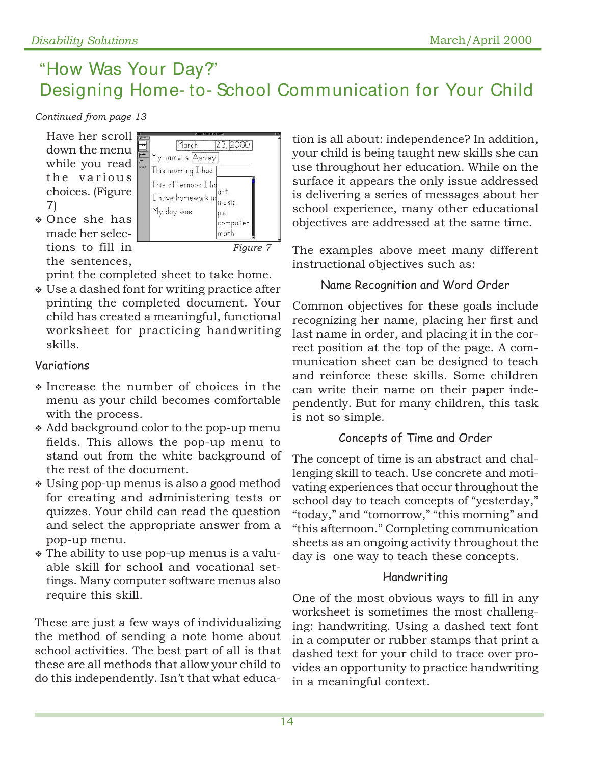#### *Continued from page 13*

Have her scroll down the menu while you read the various choices. (Figure 7)



 Once she has made her selections to fill in the sentences,

print the completed sheet to take home.

 Use a dashed font for writing practice after printing the completed document. Your child has created a meaningful, functional worksheet for practicing handwriting skills.

#### Variations

- Increase the number of choices in the menu as your child becomes comfortable with the process.
- Add background color to the pop-up menu fields. This allows the pop-up menu to stand out from the white background of the rest of the document.
- Using pop-up menus is also a good method for creating and administering tests or quizzes. Your child can read the question and select the appropriate answer from a pop-up menu.
- The ability to use pop-up menus is a valuable skill for school and vocational settings. Many computer software menus also require this skill.

These are just a few ways of individualizing the method of sending a note home about school activities. The best part of all is that these are all methods that allow your child to do this independently. Isn't that what educa-

tion is all about: independence? In addition, your child is being taught new skills she can use throughout her education. While on the surface it appears the only issue addressed is delivering a series of messages about her school experience, many other educational objectives are addressed at the same time.

The examples above meet many different instructional objectives such as:

### Name Recognition and Word Order

Common objectives for these goals include recognizing her name, placing her first and last name in order, and placing it in the correct position at the top of the page. A communication sheet can be designed to teach and reinforce these skills. Some children can write their name on their paper independently. But for many children, this task is not so simple.

### Concepts of Time and Order

The concept of time is an abstract and challenging skill to teach. Use concrete and motivating experiences that occur throughout the school day to teach concepts of "yesterday," "today," and "tomorrow," "this morning" and "this afternoon." Completing communication sheets as an ongoing activity throughout the day is one way to teach these concepts.

#### Handwriting

One of the most obvious ways to fill in any worksheet is sometimes the most challenging: handwriting. Using a dashed text font in a computer or rubber stamps that print a dashed text for your child to trace over provides an opportunity to practice handwriting in a meaningful context.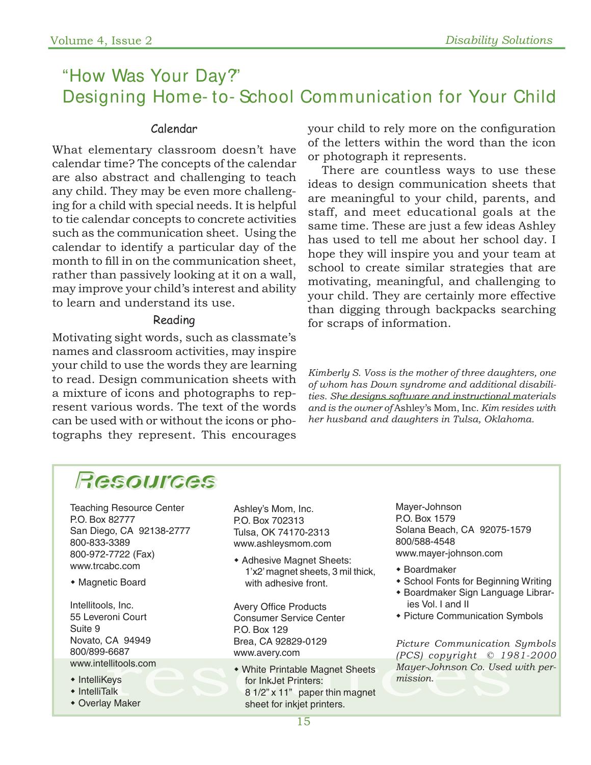#### Calendar

What elementary classroom doesn't have calendar time? The concepts of the calendar are also abstract and challenging to teach any child. They may be even more challenging for a child with special needs. It is helpful to tie calendar concepts to concrete activities such as the communication sheet. Using the calendar to identify a particular day of the month to fill in on the communication sheet, rather than passively looking at it on a wall, may improve your child's interest and ability to learn and understand its use.

#### Reading

Motivating sight words, such as classmate's names and classroom activities, may inspire your child to use the words they are learning to read. Design communication sheets with a mixture of icons and photographs to represent various words. The text of the words can be used with or without the icons or photographs they represent. This encourages

your child to rely more on the configuration of the letters within the word than the icon or photograph it represents.

There are countless ways to use these ideas to design communication sheets that are meaningful to your child, parents, and staff, and meet educational goals at the same time. These are just a few ideas Ashley has used to tell me about her school day. I hope they will inspire you and your team at school to create similar strategies that are motivating, meaningful, and challenging to your child. They are certainly more effective than digging through backpacks searching for scraps of information.

*Kimberly S. Voss is the mother of three daughters, one of whom has Down syndrome and additional disabilities. She designs software and instructional materials and is the owner of* Ashley's Mom, Inc. *Kim resides with her husband and daughters in Tulsa, Oklahoma.* 

## Resources **Resources**

Teaching Resource Center P.O. Box 82777 San Diego, CA 92138-2777 800-833-3389 800-972-7722 (Fax) www.trcabc.com

Magnetic Board

Intellitools, Inc. 55 Leveroni Court Suite 9 Novato, CA 94949 800/899-6687 www.intellitools.com

- IntelliKeys
- $\bullet$  IntelliTalk
- Overlay Maker

Ashley's Mom, Inc. P.O. Box 702313 Tulsa, OK 74170-2313 www.ashleysmom.com

 Adhesive Magnet Sheets: 1'x2' magnet sheets, 3 mil thick, with adhesive front.

Avery Office Products Consumer Service Center P.O. Box 129 Brea, CA 92829-0129 www.avery.com

CA 94949<br>
Brea, CA 92829-0129<br>
-6687<br>
ellitools.com<br>
ellitools.com<br>
ellitools.com<br>
ellitools.com<br>
ellitools.com<br>
ellitools.com<br>
ellitools.com<br>
ellitools.com<br>
ellitools.com<br>
ellitools.com<br>
ellitools.com<br>
ellitools.com<br>
elli White Printable Magnet Sheets for InkJet Printers: 8 1/2" x 11" paper thin magnet sheet for inkjet printers.

Mayer-Johnson P.O. Box 1579 Solana Beach, CA 92075-1579 800/588-4548 www.mayer-johnson.com

- Boardmaker
- **\* School Fonts for Beginning Writing**
- Boardmaker Sign Language Libraries Vol. I and II
- Picture Communication Symbols

*Picture Communication Symbols (PCS) copyright © 1981-2000 Mayer-Johnson Co. Used with permission.*